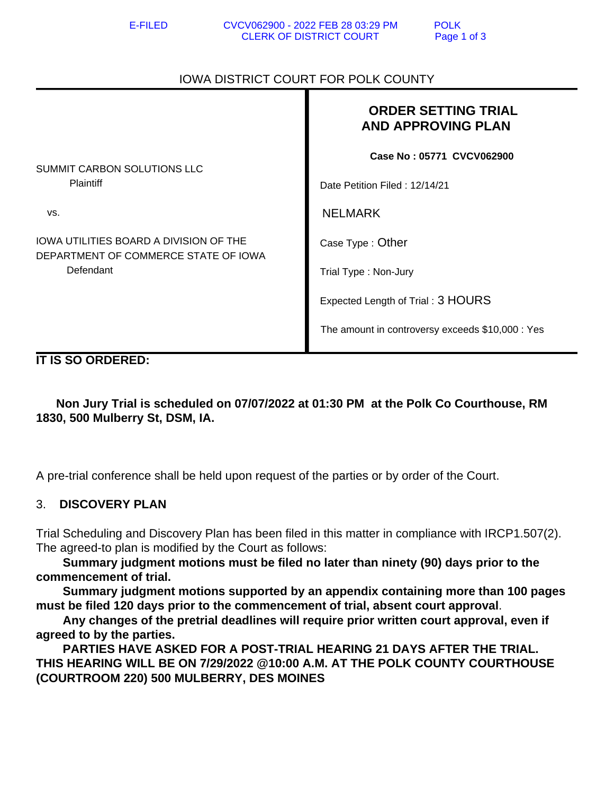## IOWA DISTRICT COURT FOR POLK COUNTY

|                                                                                             | <b>ORDER SETTING TRIAL</b><br><b>AND APPROVING PLAN</b> |
|---------------------------------------------------------------------------------------------|---------------------------------------------------------|
| SUMMIT CARBON SOLUTIONS LLC<br><b>Plaintiff</b>                                             | Case No: 05771 CVCV062900                               |
|                                                                                             | Date Petition Filed: 12/14/21                           |
| VS.                                                                                         | <b>NELMARK</b>                                          |
| IOWA UTILITIES BOARD A DIVISION OF THE<br>DEPARTMENT OF COMMERCE STATE OF IOWA<br>Defendant | Case Type: Other                                        |
|                                                                                             | Trial Type: Non-Jury                                    |
|                                                                                             | Expected Length of Trial: 3 HOURS                       |
|                                                                                             | The amount in controversy exceeds \$10,000 : Yes        |

**IT IS SO ORDERED:**

 **Non Jury Trial is scheduled on 07/07/2022 at 01:30 PM at the Polk Co Courthouse, RM 1830, 500 Mulberry St, DSM, IA.** 

A pre-trial conference shall be held upon request of the parties or by order of the Court.

## 3. **DISCOVERY PLAN**

Trial Scheduling and Discovery Plan has been filed in this matter in compliance with IRCP1.507(2). The agreed-to plan is modified by the Court as follows:

 **Summary judgment motions must be filed no later than ninety (90) days prior to the commencement of trial.**

 **Summary judgment motions supported by an appendix containing more than 100 pages must be filed 120 days prior to the commencement of trial, absent court approval**.

 **Any changes of the pretrial deadlines will require prior written court approval, even if agreed to by the parties.**

 **PARTIES HAVE ASKED FOR A POST-TRIAL HEARING 21 DAYS AFTER THE TRIAL. THIS HEARING WILL BE ON 7/29/2022 @10:00 A.M. AT THE POLK COUNTY COURTHOUSE (COURTROOM 220) 500 MULBERRY, DES MOINES**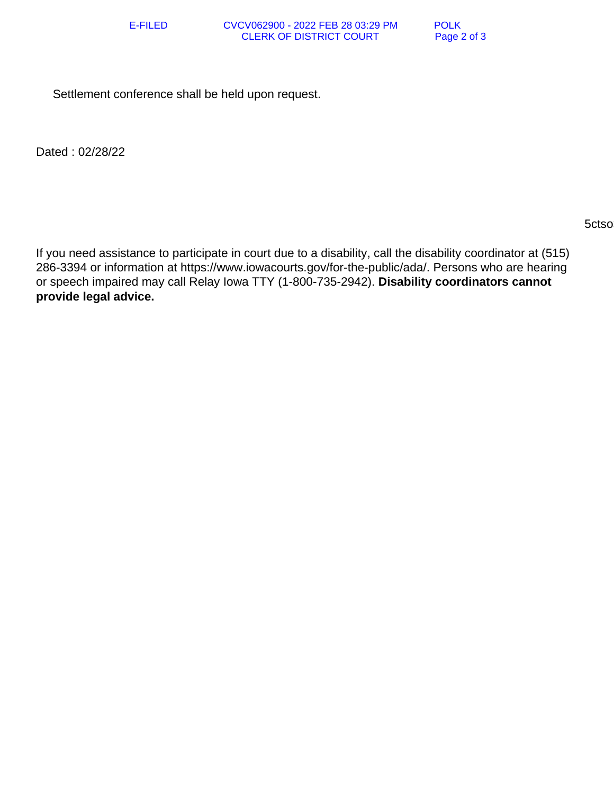Settlement conference shall be held upon request.

Dated : 02/28/22

## $5c$ tso $3c$ tso $3c$ tso $3c$ tso $3c$ tso $3c$ tso $3c$ tso $3c$

If you need assistance to participate in court due to a disability, call the disability coordinator at (515) 286-3394 or information at https://www.iowacourts.gov/for-the-public/ada/. Persons who are hearing or speech impaired may call Relay Iowa TTY (1-800-735-2942). **Disability coordinators cannot provide legal advice.**